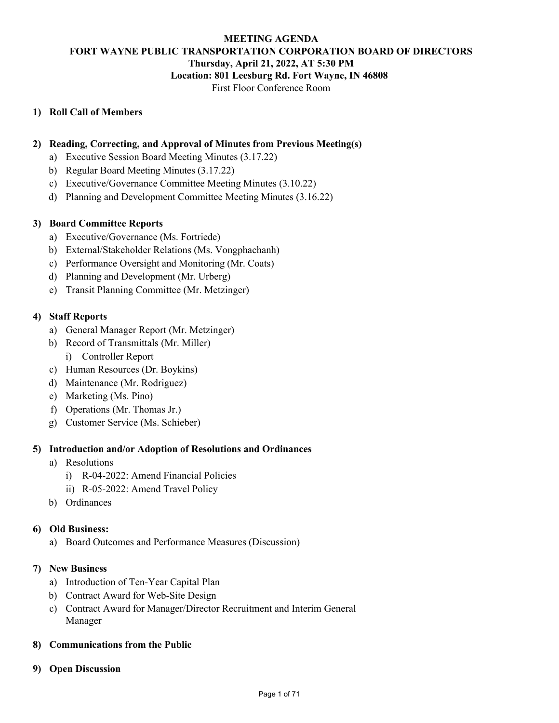## **MEETING AGENDA FORT WAYNE PUBLIC TRANSPORTATION CORPORATION BOARD OF DIRECTORS Thursday, April 21, 2022, AT 5:30 PM Location: 801 Leesburg Rd. Fort Wayne, IN 46808**

#### First Floor Conference Room

### **1) Roll Call of Members**

#### **2) Reading, Correcting, and Approval of Minutes from Previous Meeting(s)**

- a) Executive Session Board Meeting Minutes (3.17.22)
- b) Regular Board Meeting Minutes (3.17.22)
- c) Executive/Governance Committee Meeting Minutes (3.10.22)
- d) Planning and Development Committee Meeting Minutes (3.16.22)

#### **3) Board Committee Reports**

- a) Executive/Governance (Ms. Fortriede)
- b) External/Stakeholder Relations (Ms. Vongphachanh)
- c) Performance Oversight and Monitoring (Mr. Coats)
- d) Planning and Development (Mr. Urberg)
- e) Transit Planning Committee (Mr. Metzinger)

#### **4) Staff Reports**

- a) General Manager Report (Mr. Metzinger)
- b) Record of Transmittals (Mr. Miller)
	- i) Controller Report
- c) Human Resources (Dr. Boykins)
- d) Maintenance (Mr. Rodriguez)
- e) Marketing (Ms. Pino)
- f) Operations (Mr. Thomas Jr.)
- g) Customer Service (Ms. Schieber)

### **5) Introduction and/or Adoption of Resolutions and Ordinances**

- a) Resolutions
	- i) R-04-2022: Amend Financial Policies
	- ii) R-05-2022: Amend Travel Policy
- b) Ordinances

#### **6) Old Business:**

a) Board Outcomes and Performance Measures (Discussion)

#### **7) New Business**

- a) Introduction of Ten-Year Capital Plan
- b) Contract Award for Web-Site Design
- c) Contract Award for Manager/Director Recruitment and Interim General Manager

#### **8) Communications from the Public**

**9) Open Discussion**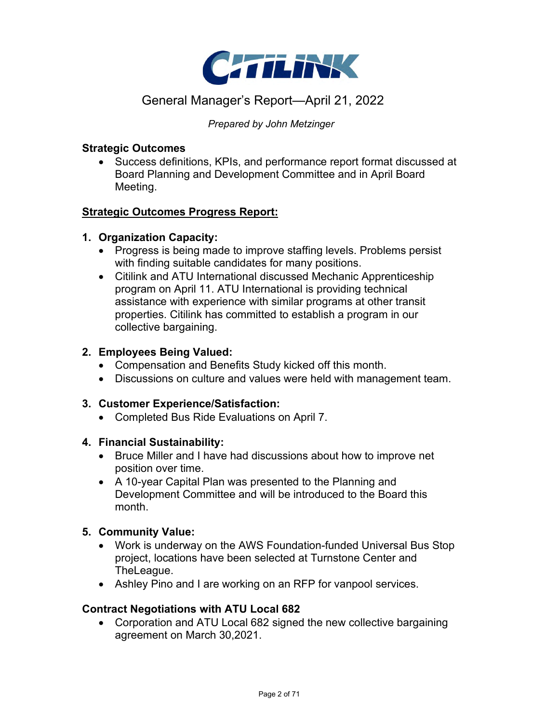

# General Manager's Report—April 21, 2022

*Prepared by John Metzinger*

### **Strategic Outcomes**

• Success definitions, KPIs, and performance report format discussed at Board Planning and Development Committee and in April Board Meeting.

### **Strategic Outcomes Progress Report:**

### **1. Organization Capacity:**

- Progress is being made to improve staffing levels. Problems persist with finding suitable candidates for many positions.
- Citilink and ATU International discussed Mechanic Apprenticeship program on April 11. ATU International is providing technical assistance with experience with similar programs at other transit properties. Citilink has committed to establish a program in our collective bargaining.

### **2. Employees Being Valued:**

- Compensation and Benefits Study kicked off this month.
- Discussions on culture and values were held with management team.

### **3. Customer Experience/Satisfaction:**

• Completed Bus Ride Evaluations on April 7.

### **4. Financial Sustainability:**

- Bruce Miller and I have had discussions about how to improve net position over time.
- A 10-year Capital Plan was presented to the Planning and Development Committee and will be introduced to the Board this month.

### **5. Community Value:**

- Work is underway on the AWS Foundation-funded Universal Bus Stop project, locations have been selected at Turnstone Center and TheLeague.
- Ashley Pino and I are working on an RFP for vanpool services.

### **Contract Negotiations with ATU Local 682**

• Corporation and ATU Local 682 signed the new collective bargaining agreement on March 30,2021.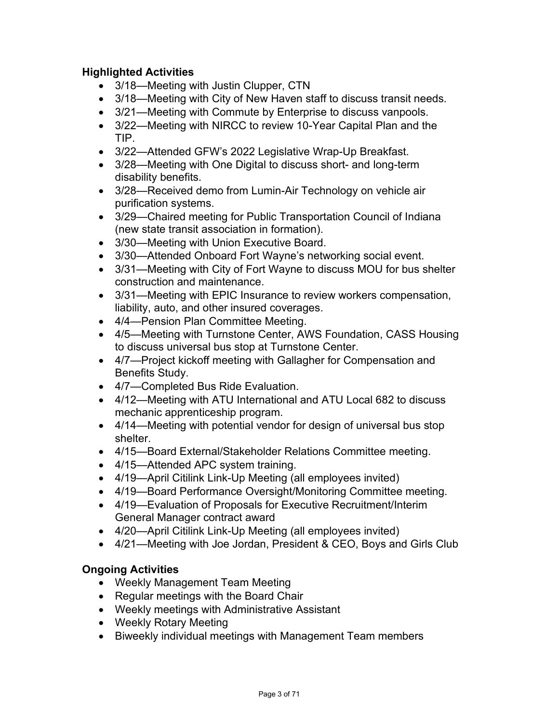# **Highlighted Activities**

- 3/18—Meeting with Justin Clupper, CTN
- 3/18—Meeting with City of New Haven staff to discuss transit needs.
- 3/21—Meeting with Commute by Enterprise to discuss vanpools.
- 3/22—Meeting with NIRCC to review 10-Year Capital Plan and the TIP.
- 3/22—Attended GFW's 2022 Legislative Wrap-Up Breakfast.
- 3/28—Meeting with One Digital to discuss short- and long-term disability benefits.
- 3/28—Received demo from Lumin-Air Technology on vehicle air purification systems.
- 3/29—Chaired meeting for Public Transportation Council of Indiana (new state transit association in formation).
- 3/30—Meeting with Union Executive Board.
- 3/30—Attended Onboard Fort Wayne's networking social event.
- 3/31—Meeting with City of Fort Wayne to discuss MOU for bus shelter construction and maintenance.
- 3/31—Meeting with EPIC Insurance to review workers compensation, liability, auto, and other insured coverages.
- 4/4—Pension Plan Committee Meeting.
- 4/5—Meeting with Turnstone Center, AWS Foundation, CASS Housing to discuss universal bus stop at Turnstone Center.
- 4/7—Project kickoff meeting with Gallagher for Compensation and Benefits Study.
- 4/7—Completed Bus Ride Evaluation.
- 4/12—Meeting with ATU International and ATU Local 682 to discuss mechanic apprenticeship program.
- 4/14—Meeting with potential vendor for design of universal bus stop shelter.
- 4/15—Board External/Stakeholder Relations Committee meeting.
- 4/15—Attended APC system training.
- 4/19—April Citilink Link-Up Meeting (all employees invited)
- 4/19—Board Performance Oversight/Monitoring Committee meeting.
- 4/19—Evaluation of Proposals for Executive Recruitment/Interim General Manager contract award
- 4/20—April Citilink Link-Up Meeting (all employees invited)
- 4/21—Meeting with Joe Jordan, President & CEO, Boys and Girls Club

# **Ongoing Activities**

- Weekly Management Team Meeting
- Regular meetings with the Board Chair
- Weekly meetings with Administrative Assistant
- Weekly Rotary Meeting
- Biweekly individual meetings with Management Team members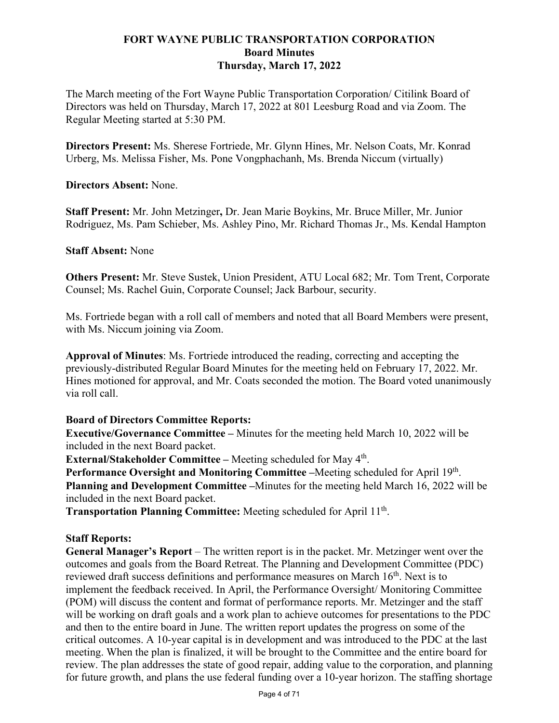### **FORT WAYNE PUBLIC TRANSPORTATION CORPORATION Board Minutes Thursday, March 17, 2022**

The March meeting of the Fort Wayne Public Transportation Corporation/ Citilink Board of Directors was held on Thursday, March 17, 2022 at 801 Leesburg Road and via Zoom. The Regular Meeting started at 5:30 PM.

**Directors Present:** Ms. Sherese Fortriede, Mr. Glynn Hines, Mr. Nelson Coats, Mr. Konrad Urberg, Ms. Melissa Fisher, Ms. Pone Vongphachanh, Ms. Brenda Niccum (virtually)

**Directors Absent:** None.

**Staff Present:** Mr. John Metzinger**,** Dr. Jean Marie Boykins, Mr. Bruce Miller, Mr. Junior Rodriguez, Ms. Pam Schieber, Ms. Ashley Pino, Mr. Richard Thomas Jr., Ms. Kendal Hampton

### **Staff Absent:** None

**Others Present:** Mr. Steve Sustek, Union President, ATU Local 682; Mr. Tom Trent, Corporate Counsel; Ms. Rachel Guin, Corporate Counsel; Jack Barbour, security.

Ms. Fortriede began with a roll call of members and noted that all Board Members were present, with Ms. Niccum joining via Zoom.

**Approval of Minutes**: Ms. Fortriede introduced the reading, correcting and accepting the previously-distributed Regular Board Minutes for the meeting held on February 17, 2022. Mr. Hines motioned for approval, and Mr. Coats seconded the motion. The Board voted unanimously via roll call.

### **Board of Directors Committee Reports:**

**Executive/Governance Committee –** Minutes for the meeting held March 10, 2022 will be included in the next Board packet.

**External/Stakeholder Committee –** Meeting scheduled for May 4th.

**Performance Oversight and Monitoring Committee –Meeting scheduled for April 19th. Planning and Development Committee –**Minutes for the meeting held March 16, 2022 will be included in the next Board packet.

**Transportation Planning Committee:** Meeting scheduled for April 11th.

### **Staff Reports:**

**General Manager's Report** – The written report is in the packet. Mr. Metzinger went over the outcomes and goals from the Board Retreat. The Planning and Development Committee (PDC) reviewed draft success definitions and performance measures on March 16<sup>th</sup>. Next is to implement the feedback received. In April, the Performance Oversight/ Monitoring Committee (POM) will discuss the content and format of performance reports. Mr. Metzinger and the staff will be working on draft goals and a work plan to achieve outcomes for presentations to the PDC and then to the entire board in June. The written report updates the progress on some of the critical outcomes. A 10-year capital is in development and was introduced to the PDC at the last meeting. When the plan is finalized, it will be brought to the Committee and the entire board for review. The plan addresses the state of good repair, adding value to the corporation, and planning for future growth, and plans the use federal funding over a 10-year horizon. The staffing shortage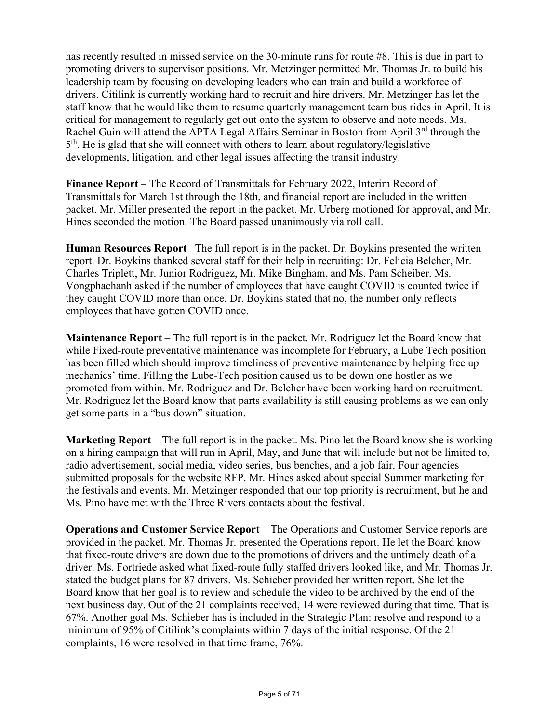has recently resulted in missed service on the 30-minute runs for route #8. This is due in part to promoting drivers to supervisor positions. Mr. Metzinger permitted Mr. Thomas Jr. to build his leadership team by focusing on developing leaders who can train and build a workforce of drivers. Citilink is currently working hard to recruit and hire drivers. Mr. Metzinger has let the staff know that he would like them to resume quarterly management team bus rides in April. It is critical for management to regularly get out onto the system to observe and note needs. Ms. Rachel Guin will attend the APTA Legal Affairs Seminar in Boston from April 3<sup>rd</sup> through the  $5<sup>th</sup>$ . He is glad that she will connect with others to learn about regulatory/legislative developments, litigation, and other legal issues affecting the transit industry.

**Finance Report** – The Record of Transmittals for February 2022, Interim Record of Transmittals for March 1st through the 18th, and financial report are included in the written packet. Mr. Miller presented the report in the packet. Mr. Urberg motioned for approval, and Mr. Hines seconded the motion. The Board passed unanimously via roll call.

**Human Resources Report** –The full report is in the packet. Dr. Boykins presented the written report. Dr. Boykins thanked several staff for their help in recruiting: Dr. Felicia Belcher, Mr. Charles Triplett, Mr. Junior Rodriguez, Mr. Mike Bingham, and Ms. Pam Scheiber. Ms. Vongphachanh asked if the number of employees that have caught COVID is counted twice if they caught COVID more than once. Dr. Boykins stated that no, the number only reflects employees that have gotten COVID once.

**Maintenance Report** – The full report is in the packet. Mr. Rodriguez let the Board know that while Fixed-route preventative maintenance was incomplete for February, a Lube Tech position has been filled which should improve timeliness of preventive maintenance by helping free up mechanics' time. Filling the Lube-Tech position caused us to be down one hostler as we promoted from within. Mr. Rodriguez and Dr. Belcher have been working hard on recruitment. Mr. Rodriguez let the Board know that parts availability is still causing problems as we can only get some parts in a "bus down" situation.

**Marketing Report** – The full report is in the packet. Ms. Pino let the Board know she is working on a hiring campaign that will run in April, May, and June that will include but not be limited to, radio advertisement, social media, video series, bus benches, and a job fair. Four agencies submitted proposals for the website RFP. Mr. Hines asked about special Summer marketing for the festivals and events. Mr. Metzinger responded that our top priority is recruitment, but he and Ms. Pino have met with the Three Rivers contacts about the festival.

**Operations and Customer Service Report** – The Operations and Customer Service reports are provided in the packet. Mr. Thomas Jr. presented the Operations report. He let the Board know that fixed-route drivers are down due to the promotions of drivers and the untimely death of a driver. Ms. Fortriede asked what fixed-route fully staffed drivers looked like, and Mr. Thomas Jr. stated the budget plans for 87 drivers. Ms. Schieber provided her written report. She let the Board know that her goal is to review and schedule the video to be archived by the end of the next business day. Out of the 21 complaints received, 14 were reviewed during that time. That is 67%. Another goal Ms. Schieber has is included in the Strategic Plan: resolve and respond to a minimum of 95% of Citilink's complaints within 7 days of the initial response. Of the 21 complaints, 16 were resolved in that time frame, 76%.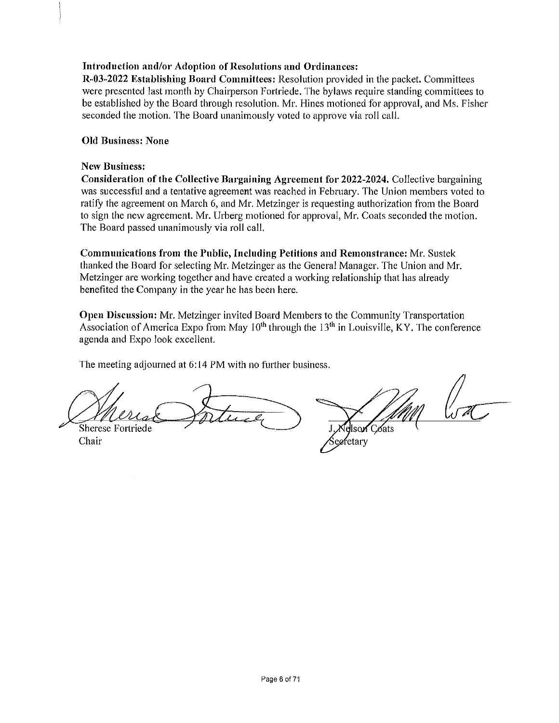### Introduction and/or Adoption of Resolutions and Ordinances:

R-03-2022 Establishing Board Committees: Resolution provided in the packet. Committees were presented last month by Chairperson Fortriede. The bylaws require standing committees to be established by the Board through resolution. Mr. Hines motioned for approval, and Ms. Fisher seconded the motion. The Board unanimously voted to approve via roll call.

#### **Old Business: None**

#### **New Business:**

Consideration of the Collective Bargaining Agreement for 2022-2024. Collective bargaining was successful and a tentative agreement was reached in February. The Union members voted to ratify the agreement on March 6, and Mr. Metzinger is requesting authorization from the Board to sign the new agreement. Mr. Urberg motioned for approval, Mr. Coats seconded the motion. The Board passed unanimously via roll call.

**Communications from the Public, Including Petitions and Remonstrance: Mr. Sustek** thanked the Board for selecting Mr. Metzinger as the General Manager, The Union and Mr. Metzinger are working together and have created a working relationship that has already benefited the Company in the year he has been here.

Open Discussion: Mr. Metzinger invited Board Members to the Community Transportation Association of America Expo from May  $10^{th}$  through the  $13^{th}$  in Louisville, KY. The conference agenda and Expo look excellent.

The meeting adjourned at 6:14 PM with no further business.

Sherese Fortriede

Chair

eretary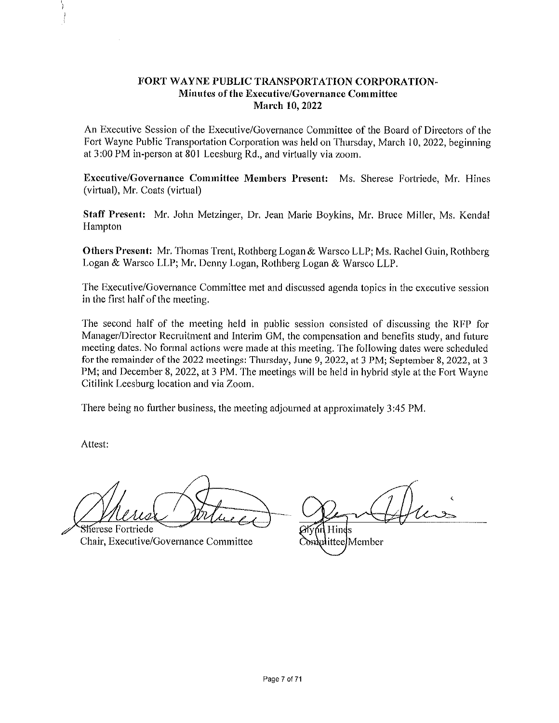#### FORT WAYNE PUBLIC TRANSPORTATION CORPORATION-Minutes of the Executive/Governance Committee **March 10, 2022**

An Executive Session of the Executive/Governance Committee of the Board of Directors of the Fort Wayne Public Transportation Corporation was held on Thursday, March 10, 2022, beginning at 3:00 PM in-person at 801 Leesburg Rd., and virtually via zoom.

Executive/Governance Committee Members Present: Ms. Sherese Fortriede, Mr. Hines (virtual), Mr. Coats (virtual)

Staff Present: Mr. John Metzinger, Dr. Jean Marie Boykins, Mr. Bruce Miller, Ms. Kendal Hampton

Others Present: Mr. Thomas Trent, Rothberg Logan & Warsco LLP; Ms. Rachel Guin, Rothberg Logan & Warsco LLP; Mr. Denny Logan, Rothberg Logan & Warsco LLP.

The Executive/Governance Committee met and discussed agenda topics in the executive session in the first half of the meeting.

The second half of the meeting held in public session consisted of discussing the RFP for Manager/Director Recruitment and Interim GM, the compensation and benefits study, and future meeting dates. No formal actions were made at this meeting. The following dates were scheduled for the remainder of the 2022 meetings: Thursday, June 9, 2022, at 3 PM; September 8, 2022, at 3 PM; and December 8, 2022, at 3 PM. The meetings will be held in hybrid style at the Fort Wayne Citilink Leesburg location and via Zoom.

There being no further business, the meeting adjourned at approximately 3:45 PM.

Attest:

Sherese Fortriede Chair, Executive/Governance Committee

nn Hinds Complittee/Member